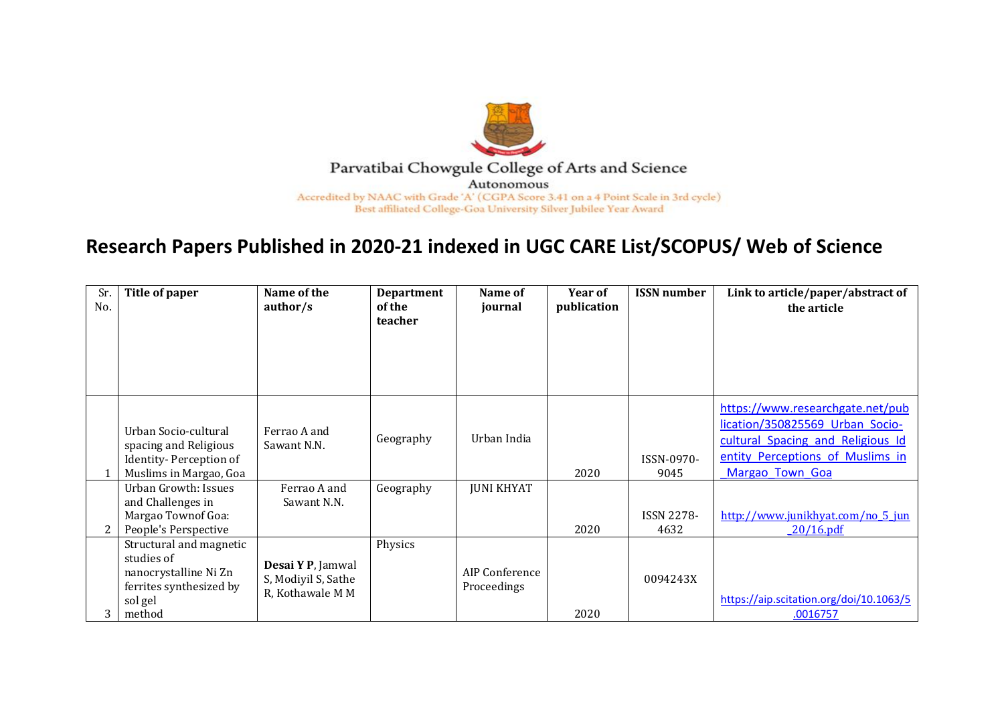

## **Research Papers Published in 2020-21 indexed in UGC CARE List/SCOPUS/ Web of Science**

| Sr.<br>No. | Title of paper                                                                                                 | Name of the<br>author/s                                      | <b>Department</b><br>of the | Name of<br>journal            | <b>Year of</b><br>publication | <b>ISSN</b> number        | Link to article/paper/abstract of<br>the article                                                                                                                |
|------------|----------------------------------------------------------------------------------------------------------------|--------------------------------------------------------------|-----------------------------|-------------------------------|-------------------------------|---------------------------|-----------------------------------------------------------------------------------------------------------------------------------------------------------------|
|            |                                                                                                                |                                                              | teacher                     |                               |                               |                           |                                                                                                                                                                 |
|            | Urban Socio-cultural<br>spacing and Religious<br>Identity-Perception of<br>Muslims in Margao, Goa              | Ferrao A and<br>Sawant N.N.                                  | Geography                   | Urban India                   | 2020                          | ISSN-0970-<br>9045        | https://www.researchgate.net/pub<br>lication/350825569 Urban Socio-<br>cultural Spacing and Religious Id<br>entity Perceptions of Muslims in<br>Margao Town Goa |
|            | Urban Growth: Issues<br>and Challenges in<br>Margao Townof Goa:<br>People's Perspective                        | Ferrao A and<br>Sawant N.N.                                  | Geography                   | <b>JUNI KHYAT</b>             | 2020                          | <b>ISSN 2278-</b><br>4632 | http://www.junikhyat.com/no 5 jun<br>$20/16$ .pdf                                                                                                               |
| 3          | Structural and magnetic<br>studies of<br>nanocrystalline Ni Zn<br>ferrites synthesized by<br>sol gel<br>method | Desai Y P, Jamwal<br>S, Modiyil S, Sathe<br>R, Kothawale M M | Physics                     | AIP Conference<br>Proceedings | 2020                          | 0094243X                  | https://aip.scitation.org/doi/10.1063/5<br>.0016757                                                                                                             |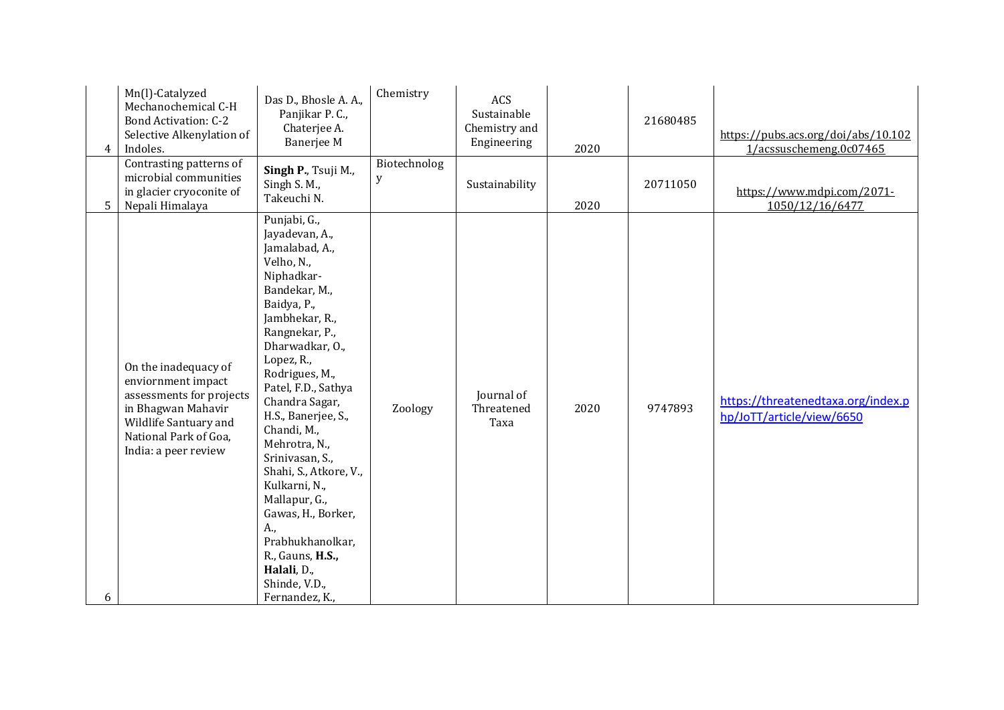| 4              | Mn(l)-Catalyzed<br>Mechanochemical C-H<br><b>Bond Activation: C-2</b><br>Selective Alkenylation of<br>Indoles.<br>Contrasting patterns of                              | Das D., Bhosle A. A.,<br>Panjikar P. C.,<br>Chaterjee A.<br><b>Banerjee M</b>                                                                                                                                                                                                                                                                                                                                                                                                                             | Chemistry<br>Biotechnolog | ACS<br>Sustainable<br>Chemistry and<br>Engineering | 2020 | 21680485 | https://pubs.acs.org/doi/abs/10.102<br>1/acssuschemeng.0c07465  |
|----------------|------------------------------------------------------------------------------------------------------------------------------------------------------------------------|-----------------------------------------------------------------------------------------------------------------------------------------------------------------------------------------------------------------------------------------------------------------------------------------------------------------------------------------------------------------------------------------------------------------------------------------------------------------------------------------------------------|---------------------------|----------------------------------------------------|------|----------|-----------------------------------------------------------------|
| 5 <sup>5</sup> | microbial communities<br>in glacier cryoconite of<br>Nepali Himalaya                                                                                                   | Singh P., Tsuji M.,<br>Singh S. M.,<br>Takeuchi N.                                                                                                                                                                                                                                                                                                                                                                                                                                                        | y                         | Sustainability                                     | 2020 | 20711050 | https://www.mdpi.com/2071-<br>1050/12/16/6477                   |
| 6              | On the inadequacy of<br>enviornment impact<br>assessments for projects<br>in Bhagwan Mahavir<br>Wildlife Santuary and<br>National Park of Goa,<br>India: a peer review | Punjabi, G.,<br>Jayadevan, A.,<br>Jamalabad, A.,<br>Velho, N.,<br>Niphadkar-<br>Bandekar, M.,<br>Baidya, P.,<br>Jambhekar, R.,<br>Rangnekar, P.,<br>Dharwadkar, O.,<br>Lopez, R.,<br>Rodrigues, M.,<br>Patel, F.D., Sathya<br>Chandra Sagar,<br>H.S., Banerjee, S.,<br>Chandi, M.,<br>Mehrotra, N.,<br>Srinivasan, S.,<br>Shahi, S., Atkore, V.,<br>Kulkarni, N.,<br>Mallapur, G.,<br>Gawas, H., Borker,<br>A.,<br>Prabhukhanolkar,<br>R., Gauns, H.S.,<br>Halali, D.,<br>Shinde, V.D.,<br>Fernandez, K., | Zoology                   | Journal of<br>Threatened<br>Taxa                   | 2020 | 9747893  | https://threatenedtaxa.org/index.p<br>hp/JoTT/article/view/6650 |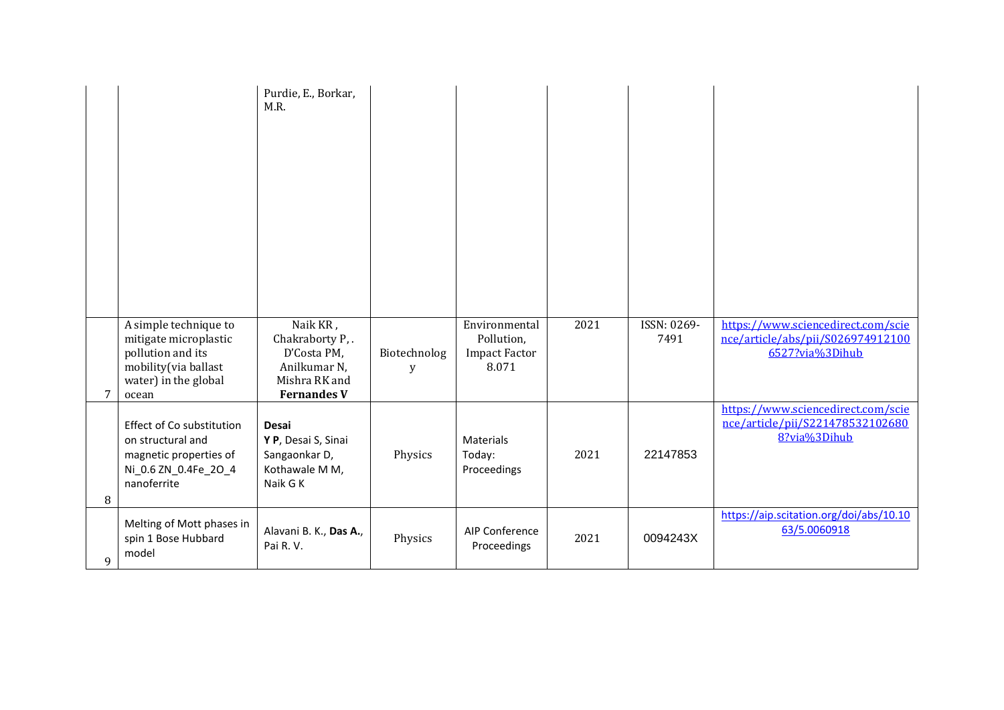|   |                                                                                                                              | Purdie, E., Borkar,<br>M.R.                                                                       |                   |                                                              |      |                     |                                                                                            |
|---|------------------------------------------------------------------------------------------------------------------------------|---------------------------------------------------------------------------------------------------|-------------------|--------------------------------------------------------------|------|---------------------|--------------------------------------------------------------------------------------------|
| 7 | A simple technique to<br>mitigate microplastic<br>pollution and its<br>mobility(via ballast<br>water) in the global<br>ocean | Naik KR,<br>Chakraborty P,.<br>D'Costa PM,<br>Anilkumar N,<br>Mishra RK and<br><b>Fernandes V</b> | Biotechnolog<br>У | Environmental<br>Pollution,<br><b>Impact Factor</b><br>8.071 | 2021 | ISSN: 0269-<br>7491 | https://www.sciencedirect.com/scie<br>nce/article/abs/pii/S026974912100<br>6527?via%3Dihub |
| 8 | Effect of Co substitution<br>on structural and<br>magnetic properties of<br>Ni_0.6 ZN_0.4Fe_2O_4<br>nanoferrite              | Desai<br>Y P, Desai S, Sinai<br>Sangaonkar D,<br>Kothawale M M,<br>Naik G K                       | Physics           | <b>Materials</b><br>Today:<br>Proceedings                    | 2021 | 22147853            | https://www.sciencedirect.com/scie<br>nce/article/pii/S221478532102680<br>8?via%3Dihub     |
| 9 | Melting of Mott phases in<br>spin 1 Bose Hubbard<br>model                                                                    | Alavani B. K., Das A.,<br>Pai R.V.                                                                | Physics           | AIP Conference<br>Proceedings                                | 2021 | 0094243X            | https://aip.scitation.org/doi/abs/10.10<br>63/5.0060918                                    |